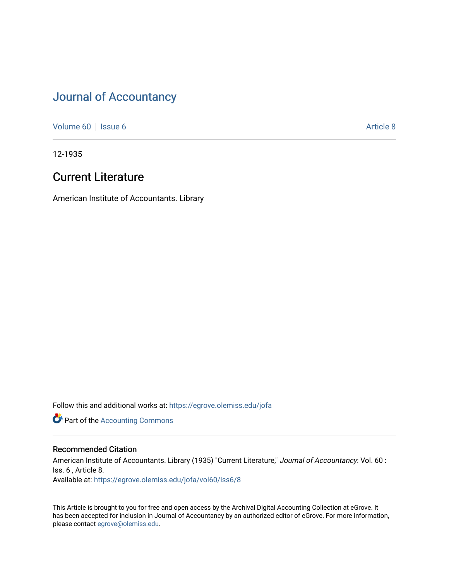# [Journal of Accountancy](https://egrove.olemiss.edu/jofa)

[Volume 60](https://egrove.olemiss.edu/jofa/vol60) | [Issue 6](https://egrove.olemiss.edu/jofa/vol60/iss6) Article 8

12-1935

# Current Literature

American Institute of Accountants. Library

Follow this and additional works at: [https://egrove.olemiss.edu/jofa](https://egrove.olemiss.edu/jofa?utm_source=egrove.olemiss.edu%2Fjofa%2Fvol60%2Fiss6%2F8&utm_medium=PDF&utm_campaign=PDFCoverPages) 

**Part of the [Accounting Commons](http://network.bepress.com/hgg/discipline/625?utm_source=egrove.olemiss.edu%2Fjofa%2Fvol60%2Fiss6%2F8&utm_medium=PDF&utm_campaign=PDFCoverPages)** 

# Recommended Citation

American Institute of Accountants. Library (1935) "Current Literature," Journal of Accountancy: Vol. 60 : Iss. 6 , Article 8. Available at: [https://egrove.olemiss.edu/jofa/vol60/iss6/8](https://egrove.olemiss.edu/jofa/vol60/iss6/8?utm_source=egrove.olemiss.edu%2Fjofa%2Fvol60%2Fiss6%2F8&utm_medium=PDF&utm_campaign=PDFCoverPages) 

This Article is brought to you for free and open access by the Archival Digital Accounting Collection at eGrove. It has been accepted for inclusion in Journal of Accountancy by an authorized editor of eGrove. For more information, please contact [egrove@olemiss.edu.](mailto:egrove@olemiss.edu)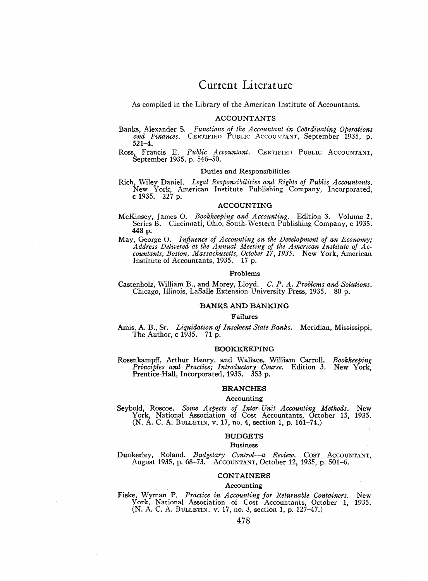# Current Literature

As compiled in the Library of the American Institute of Accountants.

# **ACCOUNTANTS**

- Banks, Alexander S. *Functions of the Accountant in Coordinating Operations and Finances.* Certified Public Accountant, September 1935, p. 521-4.
- Ross, Francis E. Public Accountant. CERTIFIED PUBLIC ACCOUNTANT. September 1935, p. 546-50.

# **Duties and Responsibilities**

Rich, Wiley Daniel. *Legal Responsibilities and Rights of Public Accountants.* New York, American Institute Publishing Company, Incorporated, c 1935.  $227$  p.

# **ACCOUNTING**

- McKinsey, James O. *Bookkeeping and Accounting.* Edition 3. Volume 2, Series B. Cincinnati, Ohio, South-Western Publishing Company, c 1935. 448 p.
- May, George O. *Influence of Accounting on the Development of an Economy; Address Delivered at the Annual Meeting of the American Institute of Accountants, Boston, Massachusetts, October 17, 1935.* New York, American Institute of Accountants, 1935. 17 p.

#### **Problems**

Castenholz, William B., and Morey, Lloyd. *C. P. A. Problems and Solutions.* Chicago, Illinois, LaSalle Extension University Press, 1935. 80 p.

## **BANKS AND BANKING**

# **Failures**

Amis, A. B., Sr. *Liquidation of Insolvent State Banks.* Meridian, Mississippi, The Author, c 1935. 71 p.

# **BOOKKEEPING**

Rosenkampff, Arthur Henry, and Wallace, William Carroll. *Bookkeeping Principles and Practice; Introductory Course.* Edition 3. New York, Prentice-Hall, Incorporated, 1935. 353 p.

# **BRANCHES**

# **Accounting**

Seybold, Roscoe. *Some Aspects of Inter-Unit Accounting Methods.* New York, National Association of Cost Accountants, October 15, 1935. (N. A. C. A. Bulletin, v. 17, no. 4, section 1, p. 161-74.)

# **BUDGETS**

# **Business**

Dunkerley, Roland. *Budgetary Control—a Review.* Cost Accountant, August 1935, p. 68-73. Accountant, October 12, 1935, p. 501-6.

#### **CONTAINERS**

i Din

#### **Accounting**

Fiske, Wyman P. *Practice in Accounting for Returnable Containers.* New York, National Association of Cost Accountants, October 1, 1935. (N. A. C. A. Bulletin, v. 17, no. 3, section 1, p. 127—47.)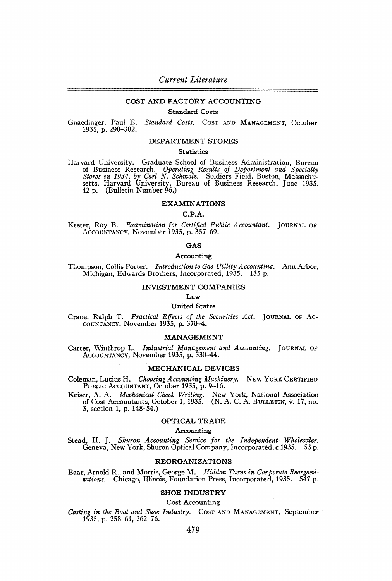# **COST AND FACTORY ACCOUNTING**

# **Standard Costs**

Gnaedinger, Paul E. *Standard Costs.* Cost and Management, October 1935, p. 290-302.

#### **DEPARTMENT STORES**

# **Statistics**

Harvard University. Graduate School of Business Administration, Bureau of Business Research. Operating Results of Department and Specialty<br>Stores in 1934, by Carl N. Schmalz. Soldiers Field, Boston, Massachusetts, Harvard University, Bureau of Business Research, June 1935. 42 p. (Bulletin Number 96.)

#### **EXAMINATIONS**

# **C.P.A.**

Kester, Roy B. *Examination for Certified Public Accountant.* Journal of Accountancy, November 1935, p. 357-69.

# **GAS**

#### **Accounting**

Thompson, Collis Porter. *Introduction to Gas Utility Accounting.* Ann Arbor, Michigan, Edwards Brothers, Incorporated, 1935. 135 p.

# **INVESTMENT COMPANIES**

**Law**

# **United States**

Crane, Ralph T. *Practical Effects of the Securities Act.* Journal of Accountancy, November 1935, p. 370-4.

#### **MANAGEMENT**

Carter, Winthrop L. *Industrial Management and Accounting.* Journal of Accountancy, November 1935, p. 330-44.

# **MECHANICAL DEVICES**

Coleman, Lucius H. *Choosing Accounting Machinery.* New York Certified PUBLIC ACCOUNTANT, October 1935, p. 9-16.

Keiser, A. A. *Mechanical Check Writing.* New York, National Association of Cost Accountants, October 1, 1935. (N. A. C. A. Bulletin, v. 17, no. 3, section 1, p. 148-54.)

# **OPTICAL TRADE**

# **Accounting**

Stead, H. J. *Shuron Accounting Service for the Independent Wholesaler.* Geneva, New York, Shuron Optical Company, Incorporated, c 1935. 53 p.

# **REORGANIZATIONS**

Baar, Arnold R., and Morris, George M. *Hidden Taxes in Corporate Reorgani*zations. Chicago, Illinois, Foundation Press, Incorporated, 1935. 547 p.

# **SHOE INDUSTRY**

**Cost Accounting**

*Costing in the Root and Shoe Industry.* Cost and Management, September 1935, p. 258-61, 262-76.